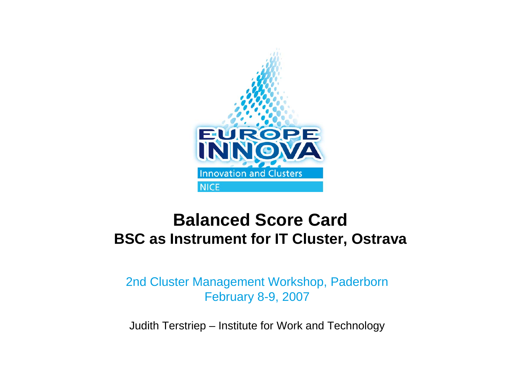

# **Balanced Score CardBSC as Instrument for IT Cluster, Ostrava**

2nd Cluster Management Workshop, Paderborn February 8-9, 2007

Judith Terstriep – Institute for Work and Technology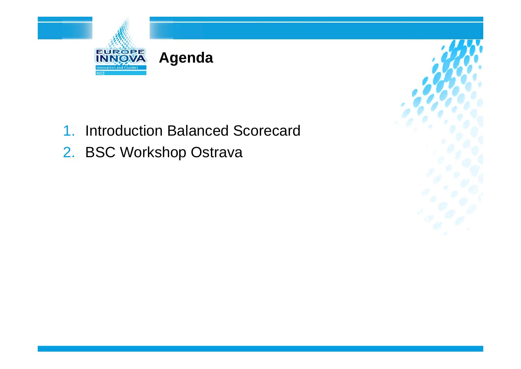



2. BSC Workshop Ostrava

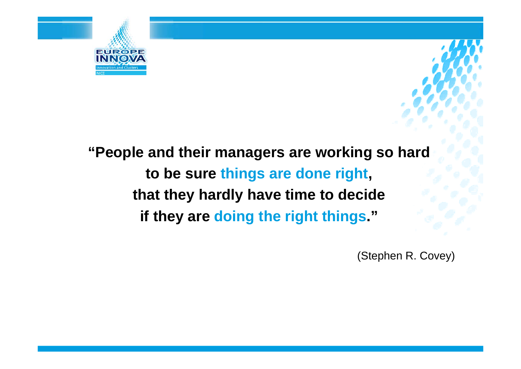

**"People and their managers are working so hard to be sure things are done right, that they hardly have time to decide if they are doing the right things."**

(Stephen R. Covey)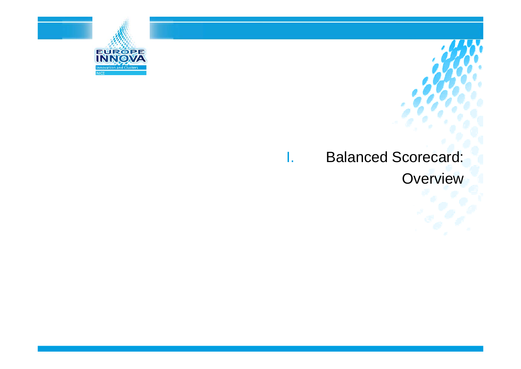

### I. Balanced Scorecard: **Overview**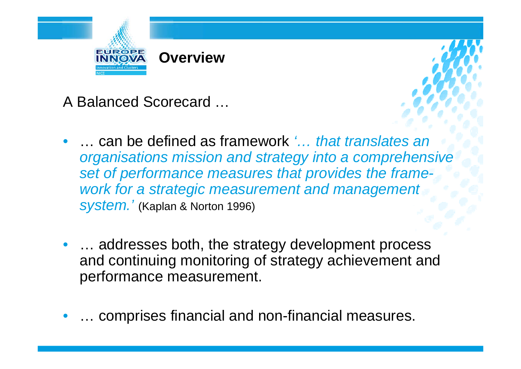

A Balanced Scorecard …

- •● … can be defined as framework *'… that translates an organisations mission and strategy into a comprehensive set of performance measures that provides the framework for a strategic measurement and management system.'* (Kaplan & Norton 1996)
- ... addresses both, the strategy development process and continuing monitoring of strategy achievement and performance measurement.
- $\bullet$ … comprises financial and non-financial measures.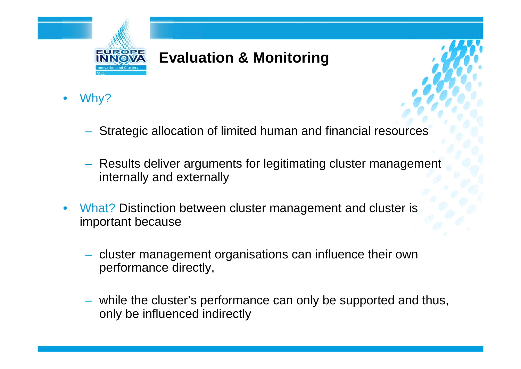

- •Why?
	- Strategic allocation of limited human and financial resources
	- Results deliver arguments for legitimating cluster management internally and externally
- •What? Distinction between cluster management and cluster is important because
	- cluster management organisations can influence their own performance directly,
	- while the cluster's performance can only be supported and thus, only be influenced indirectly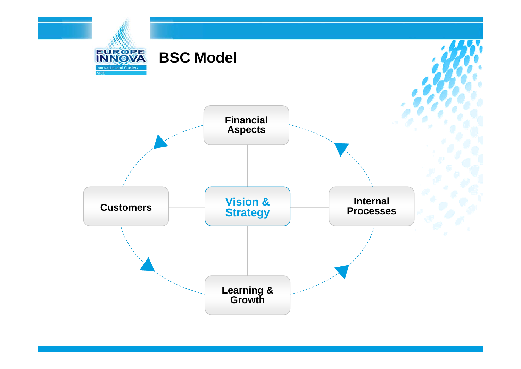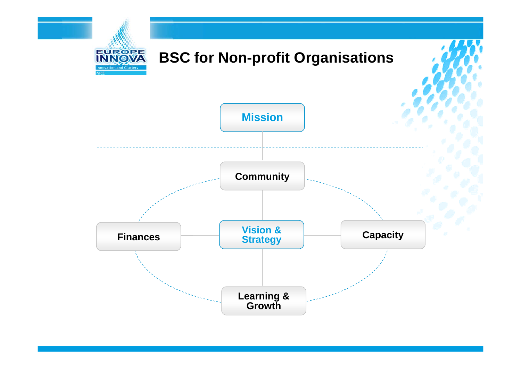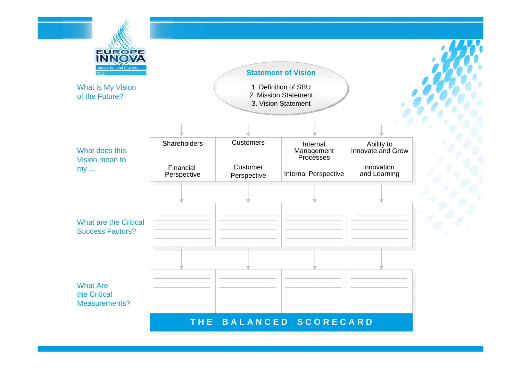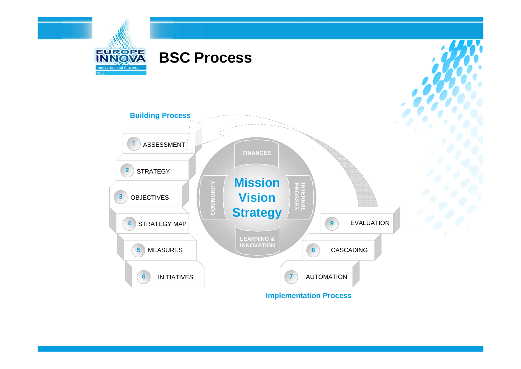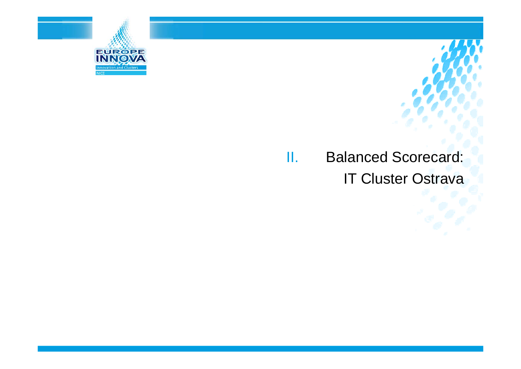

### II. Balanced Scorecard: **IT Cluster Ostrava**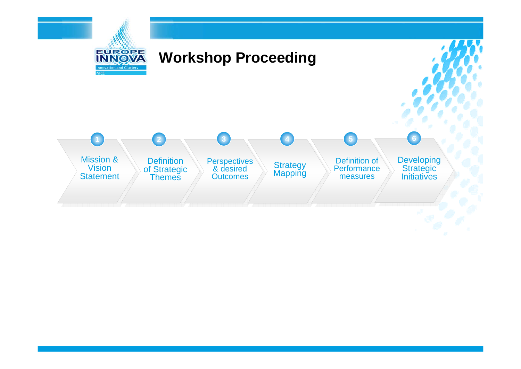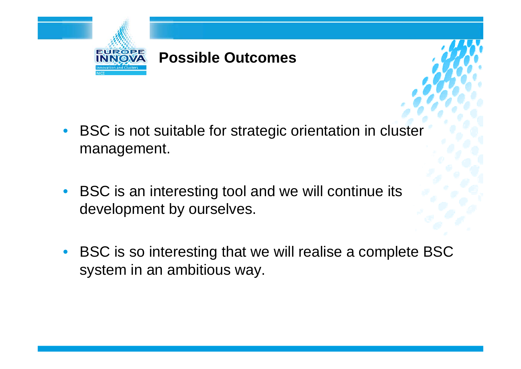

- BSC is not suitable for strategic orientation in cluster management.
- $\bullet$  BSC is an interesting tool and we will continue its development by ourselves.
- • BSC is so interesting that we will realise a complete BSC system in an ambitious way.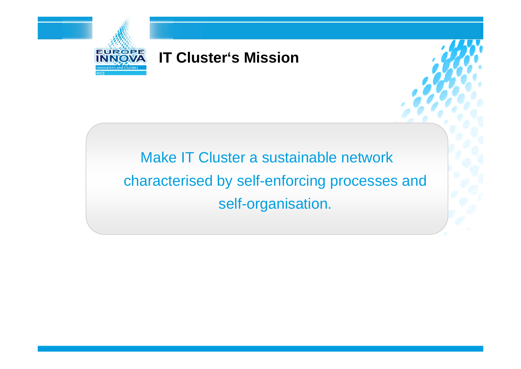

### **IT Cluster's Mission**

Make IT Cluster a sustainable network characterised by self-enforcing processes and self-organisation.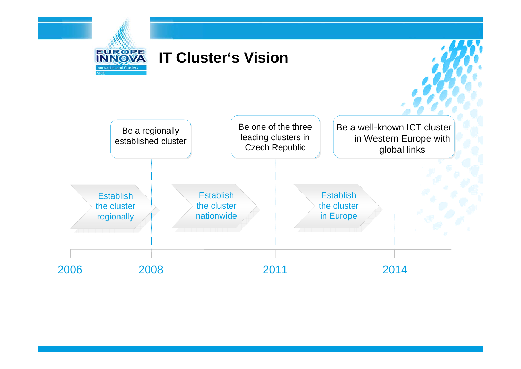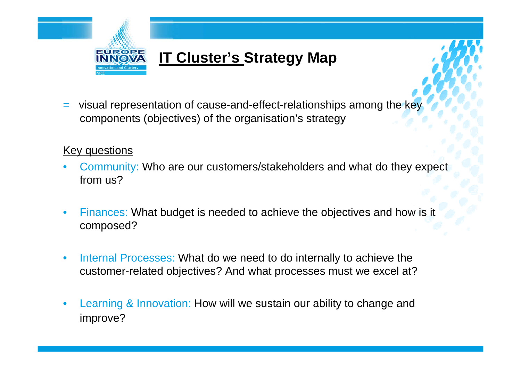

= visual representation of cause-and-effect-relationships among the key components (objectives) of the organisation's strategy

#### Key questions

- • Community: Who are our customers/stakeholders and what do they expect from us?
- $\bullet$  Finances: What budget is needed to achieve the objectives and how is it composed?
- • Internal Processes: What do we need to do internally to achieve the customer-related objectives? And what processes must we excel at?
- • Learning & Innovation: How will we sustain our ability to change and improve?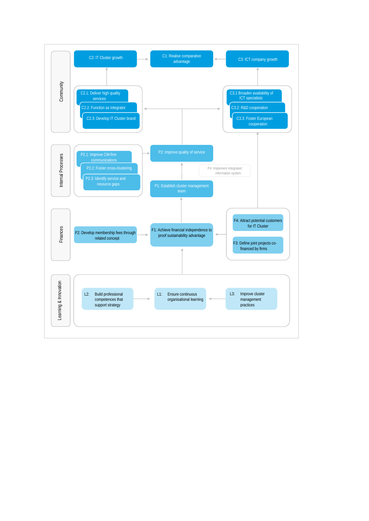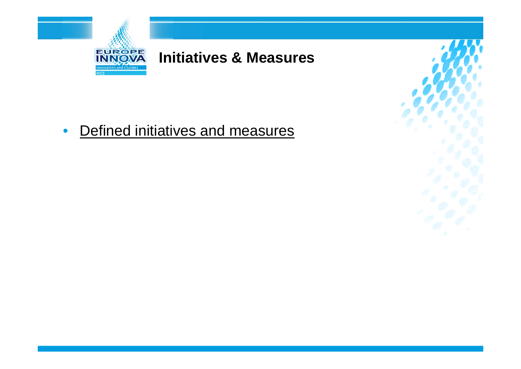

## **Initiatives & Measures**

 $\bullet$ Defined initiatives and measures

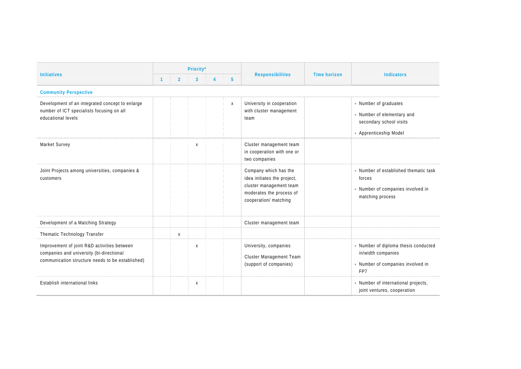| <b>Initiatives</b>                                                                                                                          |              |                | Priority*                 |  |             | <b>Responsibilities</b>                                                                                                              |                     | <b>Indicators</b>                                                                                        |  |  |  |  |
|---------------------------------------------------------------------------------------------------------------------------------------------|--------------|----------------|---------------------------|--|-------------|--------------------------------------------------------------------------------------------------------------------------------------|---------------------|----------------------------------------------------------------------------------------------------------|--|--|--|--|
|                                                                                                                                             | $\mathbf{1}$ | $\overline{2}$ | $\overline{3}$            |  | $5^{\circ}$ |                                                                                                                                      | <b>Time horizon</b> |                                                                                                          |  |  |  |  |
| <b>Community Perspective</b>                                                                                                                |              |                |                           |  |             |                                                                                                                                      |                     |                                                                                                          |  |  |  |  |
| Development of an integrated concept to enlarge<br>number of ICT specialists focusing on all<br>educational levels                          |              |                |                           |  | X           | University in cooperation<br>with cluster management<br>team                                                                         |                     | - Number of graduates<br>• Number of elementary and<br>secondary school visits<br>- Apprenticeship Model |  |  |  |  |
| Market Survey                                                                                                                               |              |                | X                         |  |             | Cluster management team<br>in cooperation with one or<br>two companies                                                               |                     |                                                                                                          |  |  |  |  |
| Joint Projects among universities, companies &<br>customers                                                                                 |              |                |                           |  |             | Company which has the<br>idea initiates the project,<br>cluster management team<br>moderates the process of<br>cooperation/ matching |                     | • Number of established thematic task<br>forces<br>- Number of companies involved in<br>matching process |  |  |  |  |
| Development of a Matching Strategy                                                                                                          |              |                |                           |  |             | Cluster management team                                                                                                              |                     |                                                                                                          |  |  |  |  |
| Thematic Technology Transfer                                                                                                                |              | Χ              |                           |  |             |                                                                                                                                      |                     |                                                                                                          |  |  |  |  |
| Improvement of joint R&D activities between<br>companies and university (bi-directional<br>communication structure needs to be established) |              |                | $\boldsymbol{\mathsf{X}}$ |  |             | University, companies<br>Cluster Management Team<br>(support of companies)                                                           |                     | - Number of diploma thesis conducted<br>in/width companies<br>• Number of companies involved in<br>FP7   |  |  |  |  |
| Establish international links                                                                                                               |              |                | X                         |  |             |                                                                                                                                      |                     | - Number of international projects,<br>joint ventures, cooperation                                       |  |  |  |  |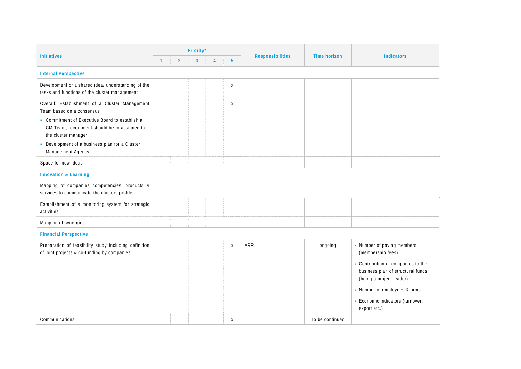| <b>Initiatives</b>                                                                                                                                                                                                                                                           |              |                | Priority*    |                |                 | <b>Responsibilities</b> | <b>Time horizon</b> | <b>Indicators</b>                                                                                                                                                                                                                           |  |
|------------------------------------------------------------------------------------------------------------------------------------------------------------------------------------------------------------------------------------------------------------------------------|--------------|----------------|--------------|----------------|-----------------|-------------------------|---------------------|---------------------------------------------------------------------------------------------------------------------------------------------------------------------------------------------------------------------------------------------|--|
|                                                                                                                                                                                                                                                                              | $\mathbf{1}$ | $\overline{2}$ | $\mathbf{3}$ | $\overline{4}$ | $5\phantom{.0}$ |                         |                     |                                                                                                                                                                                                                                             |  |
| <b>Internal Perspective</b>                                                                                                                                                                                                                                                  |              |                |              |                |                 |                         |                     |                                                                                                                                                                                                                                             |  |
| Development of a shared idea/ understanding of the<br>tasks and functions of the cluster management                                                                                                                                                                          |              |                |              |                | X               |                         |                     |                                                                                                                                                                                                                                             |  |
| Overall: Establishment of a Cluster Management<br>Team based on a consensus<br>• Commitment of Executive Board to establish a<br>CM Team; recruitment should be to assigned to<br>the cluster manager<br>• Development of a business plan for a Cluster<br>Management Agency |              |                |              |                | X               |                         |                     |                                                                                                                                                                                                                                             |  |
| Space for new ideas                                                                                                                                                                                                                                                          |              |                |              |                |                 |                         |                     |                                                                                                                                                                                                                                             |  |
| <b>Innovation &amp; Learning</b>                                                                                                                                                                                                                                             |              |                |              |                |                 |                         |                     |                                                                                                                                                                                                                                             |  |
| Mapping of companies competencies, products &<br>services to communicate the clusters profile                                                                                                                                                                                |              |                |              |                |                 |                         |                     |                                                                                                                                                                                                                                             |  |
| Establishment of a monitoring system for strategic<br>activities                                                                                                                                                                                                             |              |                |              |                |                 |                         |                     |                                                                                                                                                                                                                                             |  |
| Mapping of synergies                                                                                                                                                                                                                                                         |              |                |              |                |                 |                         |                     |                                                                                                                                                                                                                                             |  |
| <b>Financial Perspective</b>                                                                                                                                                                                                                                                 |              |                |              |                |                 |                         |                     |                                                                                                                                                                                                                                             |  |
| Preparation of feasibility study including definition<br>of joint projects & co-funding by companies                                                                                                                                                                         |              |                |              |                | X               | ARR                     | ongoing             | • Number of paying members<br>(membership fees)<br>- Contribution of companies to the<br>business plan of structural funds<br>(being a project leader)<br>- Number of employees & firms<br>- Economic indicators (turnover,<br>export etc.) |  |
| Communications                                                                                                                                                                                                                                                               |              |                |              |                | Χ               |                         | To be continued     |                                                                                                                                                                                                                                             |  |